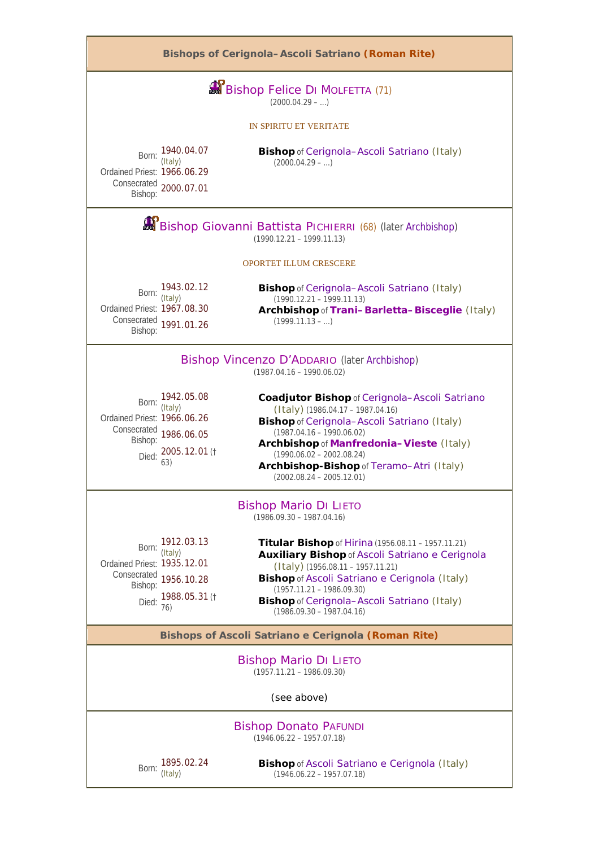

Born: 1895.02.24 (Italy)

**Bishop** of Ascoli Satriano e Cerignola (Italy) (1946.06.22 – 1957.07.18)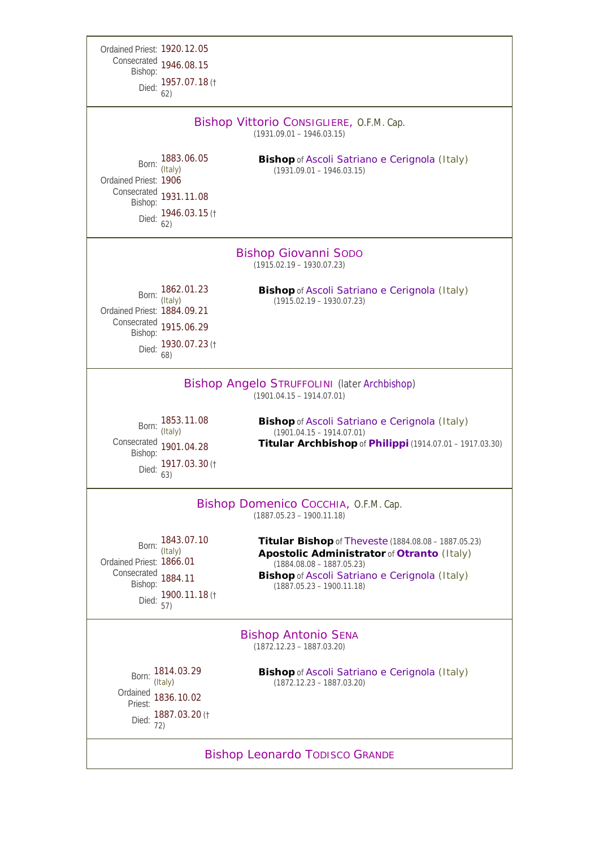| Ordained Priest: 1920.12.05                                                        |                                                                         |                                                                                                                                                                                                                                 |  |  |
|------------------------------------------------------------------------------------|-------------------------------------------------------------------------|---------------------------------------------------------------------------------------------------------------------------------------------------------------------------------------------------------------------------------|--|--|
| Consecrated<br>Bishop:                                                             | 1946.08.15                                                              |                                                                                                                                                                                                                                 |  |  |
| Died:                                                                              | 1957.07.18(†<br>62)                                                     |                                                                                                                                                                                                                                 |  |  |
| Bishop Vittorio CONSIGLIERE, O.F.M. Cap.<br>$(1931.09.01 - 1946.03.15)$            |                                                                         |                                                                                                                                                                                                                                 |  |  |
| Born:<br>Ordained Priest: 1906<br>Bishop:<br>Died:                                 | 1883.06.05<br>(Italy)<br>Consecrated 1931.11.08<br>1946.03.15 (†<br>62) | <b>Bishop</b> of Ascoli Satriano e Cerignola (Italy)<br>$(1931.09.01 - 1946.03.15)$                                                                                                                                             |  |  |
| <b>Bishop Giovanni Sopo</b><br>$(1915.02.19 - 1930.07.23)$                         |                                                                         |                                                                                                                                                                                                                                 |  |  |
| Born:<br>Ordained Priest: 1884.09.21<br>Consecrated<br>Bishop:<br>Died:            | 1862.01.23<br>(Italy)<br>1915.06.29<br>1930.07.23 (†<br>68)             | <b>Bishop</b> of Ascoli Satriano e Cerignola (Italy)<br>$(1915.02.19 - 1930.07.23)$                                                                                                                                             |  |  |
| <b>Bishop Angelo STRUFFOLINI (later Archbishop)</b><br>$(1901.04.15 - 1914.07.01)$ |                                                                         |                                                                                                                                                                                                                                 |  |  |
| Born:                                                                              | 1853.11.08<br>(Italy)                                                   | <b>Bishop</b> of Ascoli Satriano e Cerignola (Italy)<br>$(1901.04.15 - 1914.07.01)$                                                                                                                                             |  |  |
| Consecrated<br>Bishop:<br>Died:                                                    | 1901.04.28<br>1917.03.30(†<br>63)                                       | Titular Archbishop of <i>Philippi</i> (1914.07.01 - 1917.03.30)                                                                                                                                                                 |  |  |
| Bishop Domenico Cocchia, O.F.M. Cap.<br>$(1887.05.23 - 1900.11.18)$                |                                                                         |                                                                                                                                                                                                                                 |  |  |
| Born:<br>Ordained Priest: 1866.01<br>Consecrated<br>Bishop:                        | 1843.07.10<br>(Italy)<br>1884.11<br>Died: 1900.11.18 (†<br>57)          | <b>Titular Bishop</b> of <i>Theveste</i> (1884.08.08 - 1887.05.23)<br>Apostolic Administrator of Otranto (Italy)<br>$(1884.08.08 - 1887.05.23)$<br>Bishop of Ascoli Satriano e Cerignola (Italy)<br>$(1887.05.23 - 1900.11.18)$ |  |  |
|                                                                                    |                                                                         | <b>Bishop Antonio SENA</b><br>$(1872.12.23 - 1887.03.20)$                                                                                                                                                                       |  |  |
| Born:<br>Ordained<br>Priest:<br>Died:                                              | 1814.03.29<br>(Italy)<br>1836.10.02<br>1887.03.20 (†<br>72)             | <b>Bishop</b> of Ascoli Satriano e Cerignola (Italy)<br>$(1872.12.23 - 1887.03.20)$                                                                                                                                             |  |  |
| <b>Bishop Leonardo TODISCO GRANDE</b>                                              |                                                                         |                                                                                                                                                                                                                                 |  |  |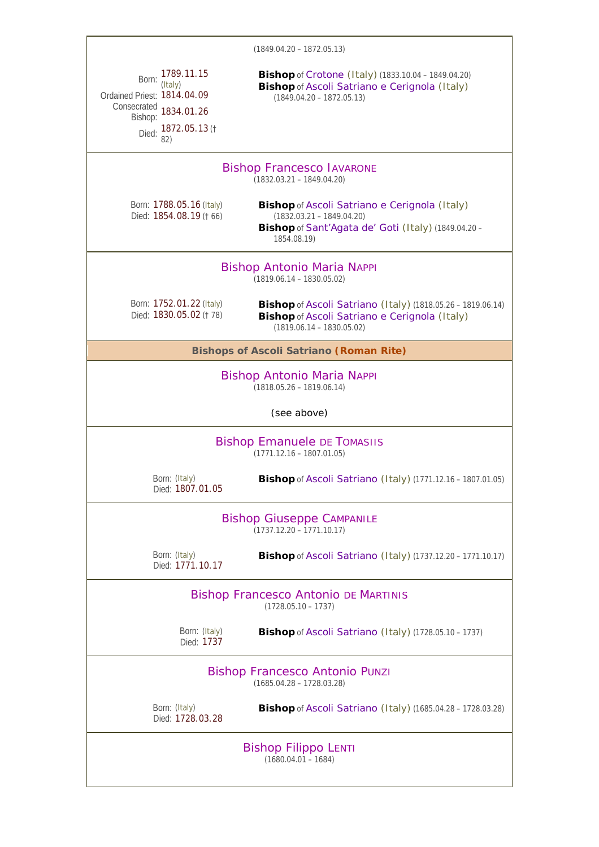|                                                                                                                                  | $(1849.04.20 - 1872.05.13)$                                                                                                                        |  |  |  |
|----------------------------------------------------------------------------------------------------------------------------------|----------------------------------------------------------------------------------------------------------------------------------------------------|--|--|--|
| 1789.11.15<br>Born:<br>(Italy)<br>Ordained Priest: 1814.04.09<br>Consecrated 1834.01.26<br>Bishop:<br>Died: 1872.05.13 (†<br>82) | <b>Bishop</b> of Crotone (Italy) (1833.10.04 - 1849.04.20)<br>Bishop of Ascoli Satriano e Cerignola (Italy)<br>$(1849.04.20 - 1872.05.13)$         |  |  |  |
| <b>Bishop Francesco IAVARONE</b><br>$(1832.03.21 - 1849.04.20)$                                                                  |                                                                                                                                                    |  |  |  |
| Born: 1788.05.16 (Italy)<br>Died: 1854.08.19 († 66)                                                                              | Bishop of Ascoli Satriano e Cerignola (Italy)<br>$(1832.03.21 - 1849.04.20)$<br>Bishop of Sant'Agata de' Goti (Italy) (1849.04.20 -<br>1854.08.19) |  |  |  |
| <b>Bishop Antonio Maria NAPPI</b><br>$(1819.06.14 - 1830.05.02)$                                                                 |                                                                                                                                                    |  |  |  |
| Born: 1752.01.22 (Italy)<br>Died: 1830.05.02 († 78)                                                                              | <b>Bishop</b> of Ascoli Satriano (Italy) (1818.05.26 - 1819.06.14)<br>Bishop of Ascoli Satriano e Cerignola (Italy)<br>$(1819.06.14 - 1830.05.02)$ |  |  |  |
| <b>Bishops of Ascoli Satriano (Roman Rite)</b>                                                                                   |                                                                                                                                                    |  |  |  |
| <b>Bishop Antonio Maria NAPPI</b><br>$(1818.05.26 - 1819.06.14)$                                                                 |                                                                                                                                                    |  |  |  |
|                                                                                                                                  | (see above)                                                                                                                                        |  |  |  |
| <b>Bishop Emanuele DE TOMASIIS</b><br>$(1771.12.16 - 1807.01.05)$                                                                |                                                                                                                                                    |  |  |  |
| Born: (Italy)<br>Died: 1807.01.05                                                                                                | <b>Bishop</b> of Ascoli Satriano (Italy) (1771.12.16 - 1807.01.05)                                                                                 |  |  |  |
| <b>Bishop Giuseppe CAMPANILE</b><br>$(1737.12.20 - 1771.10.17)$                                                                  |                                                                                                                                                    |  |  |  |
| Born: (Italy)<br>Died: 1771.10.17                                                                                                | <b>Bishop</b> of Ascoli Satriano (Italy) (1737.12.20 - 1771.10.17)                                                                                 |  |  |  |
|                                                                                                                                  | <b>Bishop Francesco Antonio DE MARTINIS</b><br>$(1728.05.10 - 1737)$                                                                               |  |  |  |
| Born: (Italy)<br>Died: 1737                                                                                                      | Bishop of Ascoli Satriano (Italy) (1728.05.10 - 1737)                                                                                              |  |  |  |
| <b>Bishop Francesco Antonio PUNZI</b><br>$(1685.04.28 - 1728.03.28)$                                                             |                                                                                                                                                    |  |  |  |
| Born: (Italy)<br>Died: 1728.03.28                                                                                                | <b>Bishop</b> of Ascoli Satriano (Italy) (1685.04.28 - 1728.03.28)                                                                                 |  |  |  |
|                                                                                                                                  | <b>Bishop Filippo LENTI</b><br>$(1680.04.01 - 1684)$                                                                                               |  |  |  |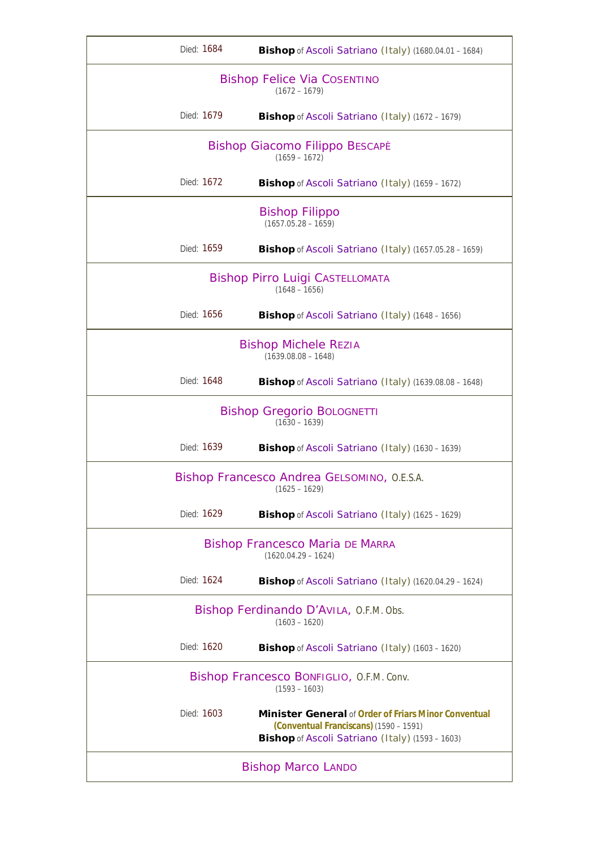| Died: 1684                                                      | <b>Bishop</b> of Ascoli Satriano (Italy) (1680.04.01 - 1684)                                                                                             |  |  |
|-----------------------------------------------------------------|----------------------------------------------------------------------------------------------------------------------------------------------------------|--|--|
| <b>Bishop Felice Via COSENTINO</b><br>$(1672 - 1679)$           |                                                                                                                                                          |  |  |
| Died: 1679                                                      | Bishop of Ascoli Satriano (Italy) (1672 - 1679)                                                                                                          |  |  |
|                                                                 | Bishop Giacomo Filippo BESCAPÈ<br>$(1659 - 1672)$                                                                                                        |  |  |
| Died: 1672                                                      | Bishop of Ascoli Satriano (Italy) (1659 - 1672)                                                                                                          |  |  |
|                                                                 | <b>Bishop Filippo</b><br>$(1657.05.28 - 1659)$                                                                                                           |  |  |
| Died: 1659                                                      | Bishop of Ascoli Satriano (Italy) (1657.05.28 - 1659)                                                                                                    |  |  |
| <b>Bishop Pirro Luigi CASTELLOMATA</b><br>$(1648 - 1656)$       |                                                                                                                                                          |  |  |
| Died: 1656                                                      | <b>Bishop</b> of Ascoli Satriano (Italy) (1648 - 1656)                                                                                                   |  |  |
| <b>Bishop Michele REZIA</b><br>$(1639.08.08 - 1648)$            |                                                                                                                                                          |  |  |
| Died: 1648                                                      | Bishop of Ascoli Satriano (Italy) (1639.08.08 - 1648)                                                                                                    |  |  |
| <b>Bishop Gregorio BOLOGNETTI</b><br>$(1630 - 1639)$            |                                                                                                                                                          |  |  |
| Died: 1639                                                      | Bishop of Ascoli Satriano (Italy) (1630 - 1639)                                                                                                          |  |  |
| Bishop Francesco Andrea GELSOMINO, O.E.S.A.<br>$(1625 - 1629)$  |                                                                                                                                                          |  |  |
| Died: 1629                                                      | Bishop of Ascoli Satriano (Italy) (1625 - 1629)                                                                                                          |  |  |
| <b>Bishop Francesco Maria DE MARRA</b><br>$(1620.04.29 - 1624)$ |                                                                                                                                                          |  |  |
| Died: 1624                                                      | Bishop of Ascoli Satriano (Italy) (1620.04.29 - 1624)                                                                                                    |  |  |
| Bishop Ferdinando D'AVILA, O.F.M. Obs.<br>$(1603 - 1620)$       |                                                                                                                                                          |  |  |
| Died: 1620                                                      | <b>Bishop</b> of Ascoli Satriano (Italy) (1603 - 1620)                                                                                                   |  |  |
| Bishop Francesco BONFIGLIO, O.F.M. Conv.<br>$(1593 - 1603)$     |                                                                                                                                                          |  |  |
| Died: 1603                                                      | <b>Minister General of Order of Friars Minor Conventual</b><br>(Conventual Franciscans) (1590 - 1591)<br>Bishop of Ascoli Satriano (Italy) (1593 - 1603) |  |  |
| <b>Bishop Marco LANDO</b>                                       |                                                                                                                                                          |  |  |